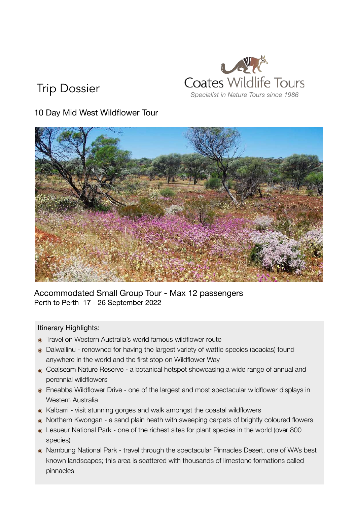# *Specialist in Nature Tours since 1986* Trip Dossier

## 10 Day Mid West Wildflower Tour



#### Accommodated Small Group Tour - Max 12 passengers Perth to Perth 17 - 26 September 2022

#### Itinerary Highlights:

- ๏ Travel on Western Australia's world famous wildflower route
- ๏ Dalwallinu renowned for having the largest variety of wattle species (acacias) found anywhere in the world and the first stop on Wildflower Way
- Coalseam Nature Reserve a botanical hotspot showcasing a wide range of annual and perennial wildflowers
- ๏ Eneabba Wildflower Drive one of the largest and most spectacular wildflower displays in Western Australia
- ๏ Kalbarri visit stunning gorges and walk amongst the coastal wildflowers
- ๏ Northern Kwongan a sand plain heath with sweeping carpets of brightly coloured flowers
- ๏ Lesueur National Park one of the richest sites for plant species in the world (over 800 species)
- ๏ Nambung National Park travel through the spectacular Pinnacles Desert, one of WA's best known landscapes; this area is scattered with thousands of limestone formations called pinnacles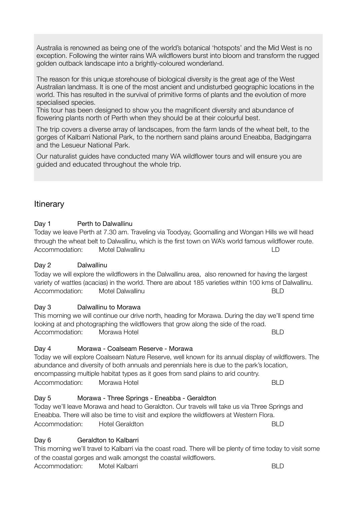Australia is renowned as being one of the world's botanical 'hotspots' and the Mid West is no exception. Following the winter rains WA wildflowers burst into bloom and transform the rugged golden outback landscape into a brightly-coloured wonderland.

The reason for this unique storehouse of biological diversity is the great age of the West Australian landmass. It is one of the most ancient and undisturbed geographic locations in the world. This has resulted in the survival of primitive forms of plants and the evolution of more specialised species.

This tour has been designed to show you the magnificent diversity and abundance of flowering plants north of Perth when they should be at their colourful best.

The trip covers a diverse array of landscapes, from the farm lands of the wheat belt, to the gorges of Kalbarri National Park, to the northern sand plains around Eneabba, Badgingarra and the Lesueur National Park.

Our naturalist guides have conducted many WA wildflower tours and will ensure you are guided and educated throughout the whole trip.

#### **Itinerary**

#### Day 1 **Perth to Dalwallinu**

Today we leave Perth at 7.30 am. Traveling via Toodyay, Goomalling and Wongan Hills we will head through the wheat belt to Dalwallinu, which is the first town on WA's world famous wildflower route. Accommodation: Motel Dalwallinu ID

#### Day 2 Dalwallinu

## Today we will explore the wildflowers in the Dalwallinu area, also renowned for having the largest

## Day 3 **Dalwallinu to Morawa**

This morning we will continue our drive north, heading for Morawa. During the day we'll spend time looking at and photographing the wildflowers that grow along the side of the road. Accommodation: Morawa Hotel BLD

variety of wattles (acacias) in the world. There are about 185 varieties within 100 kms of Dalwallinu.

Accommodation: Motel Dalwallinu BLD

#### Day 4 Morawa - Coalseam Reserve - Morawa

Today we will explore Coalseam Nature Reserve, well known for its annual display of wildflowers. The abundance and diversity of both annuals and perennials here is due to the park's location, encompassing multiple habitat types as it goes from sand plains to arid country. Accommodation: Morawa Hotel BLD

#### Day 5 Morawa - Three Springs - Eneabba - Geraldton

## Today we'll leave Morawa and head to Geraldton. Our travels will take us via Three Springs and

Eneabba. There will also be time to visit and explore the wildflowers at Western Flora. Accommodation: Hotel Geraldton BLD

#### Day 6 **Geraldton to Kalbarri**

This morning we'll travel to Kalbarri via the coast road. There will be plenty of time today to visit some of the coastal gorges and walk amongst the coastal wildflowers. Accommodation: Motel Kalbarri BLD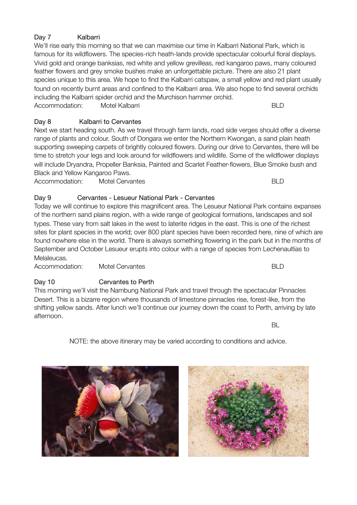#### Day 7 **Kalbarri**

We'll rise early this morning so that we can maximise our time in Kalbarri National Park, which is famous for its wildflowers. The species-rich heath-lands provide spectacular colourful floral displays. Vivid gold and orange banksias, red white and yellow grevilleas, red kangaroo paws, many coloured feather flowers and grey smoke bushes make an unforgettable picture. There are also 21 plant species unique to this area. We hope to find the Kalbarri catspaw, a small yellow and red plant usually found on recently burnt areas and confined to the Kalbarri area. We also hope to find several orchids including the Kalbarri spider orchid and the Murchison hammer orchid. Accommodation: Motel Kalbarri BLD

#### Day 8 Kalbarri to Cervantes

Next we start heading south. As we travel through farm lands, road side verges should offer a diverse range of plants and colour. South of Dongara we enter the Northern Kwongan, a sand plain heath supporting sweeping carpets of brightly coloured flowers. During our drive to Cervantes, there will be time to stretch your legs and look around for wildflowers and wildlife. Some of the wildflower displays will include Dryandra, Propeller Banksia, Painted and Scarlet Feather-flowers, Blue Smoke bush and Black and Yellow Kangaroo Paws.

Accommodation: Motel Cervantes BLD

#### Day 9 Cervantes - Lesueur National Park - Cervantes

Today we will continue to explore this magnificent area. The Lesueur National Park contains expanses of the northern sand plains region, with a wide range of geological formations, landscapes and soil types. These vary from salt lakes in the west to laterite ridges in the east. This is one of the richest sites for plant species in the world; over 800 plant species have been recorded here, nine of which are found nowhere else in the world. There is always something flowering in the park but in the months of September and October Lesueur erupts into colour with a range of species from Lechenaultias to Melaleucas.

Accommodation: Motel Cervantes BLD

#### Day 10 **Cervantes to Perth**

This morning we'll visit the Nambung National Park and travel through the spectacular Pinnacles Desert. This is a bizarre region where thousands of limestone pinnacles rise, forest-like, from the shifting yellow sands. After lunch we'll continue our journey down the coast to Perth, arriving by late afternoon.

NOTE: the above itinerary may be varied according to conditions and advice.





and the state of the state of the state of the state of the state of the state of the state of the state of th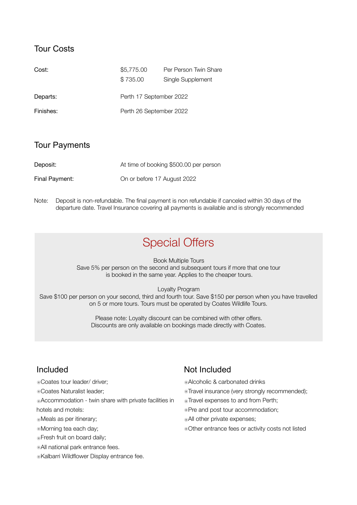#### Tour Costs

| Cost:     | \$5,775.00              | Per Person Twin Share |
|-----------|-------------------------|-----------------------|
|           | \$735.00                | Single Supplement     |
| Departs:  | Perth 17 September 2022 |                       |
| Finishes: | Perth 26 September 2022 |                       |

#### Tour Payments

| Deposit:       | At time of booking \$500.00 per person |
|----------------|----------------------------------------|
| Final Payment: | On or before 17 August 2022            |

Note: Deposit is non-refundable. The final payment is non refundable if canceled within 30 days of the departure date. Travel Insurance covering all payments is available and is strongly recommended

## Special Offers

Book Multiple Tours Save 5% per person on the second and subsequent tours if more that one tour is booked in the same year. Applies to the cheaper tours.

Loyalty Program

Save \$100 per person on your second, third and fourth tour. Save \$150 per person when you have travelled on 5 or more tours. Tours must be operated by Coates Wildlife Tours.

> Please note: Loyalty discount can be combined with other offers. Discounts are only available on bookings made directly with Coates.

#### Included

- ๏Coates tour leader/ driver;
- ๏Coates Naturalist leader;
- ๏Accommodation twin share with private facilities in
- hotels and motels:
- ๏Meals as per itinerary;
- ๏Morning tea each day;
- ๏Fresh fruit on board daily;
- ๏All national park entrance fees.
- ๏Kalbarri Wildflower Display entrance fee.

### Not Included

- ๏Alcoholic & carbonated drinks
- ๏Travel insurance (very strongly recommended);
- ๏Travel expenses to and from Perth;
- ๏Pre and post tour accommodation;
- ๏All other private expenses;
- ๏Other entrance fees or activity costs not listed